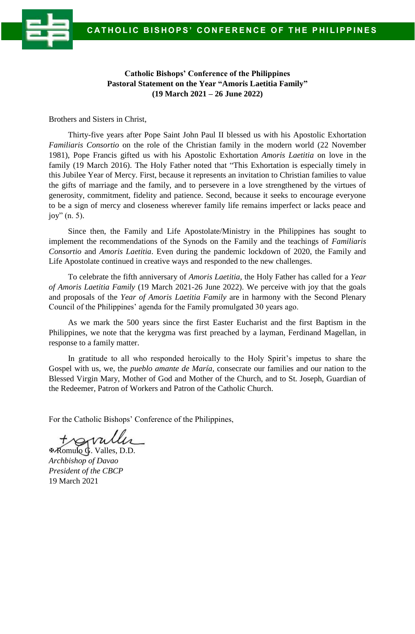



**Catholic Bishops' Conference of the Philippines Pastoral Statement on the Year "Amoris Laetitia Family" (19 March 2021 – 26 June 2022)**

Brothers and Sisters in Christ,

Thirty-five years after Pope Saint John Paul II blessed us with his Apostolic Exhortation *Familiaris Consortio* on the role of the Christian family in the modern world (22 November 1981), Pope Francis gifted us with his Apostolic Exhortation *Amoris Laetitia* on love in the family (19 March 2016). The Holy Father noted that "This Exhortation is especially timely in this Jubilee Year of Mercy. First, because it represents an invitation to Christian families to value the gifts of marriage and the family, and to persevere in a love strengthened by the virtues of generosity, commitment, fidelity and patience. Second, because it seeks to encourage everyone to be a sign of mercy and closeness wherever family life remains imperfect or lacks peace and joy" (n. 5).

Since then, the Family and Life Apostolate/Ministry in the Philippines has sought to implement the recommendations of the Synods on the Family and the teachings of *Familiaris Consortio* and *Amoris Laetitia*. Even during the pandemic lockdown of 2020, the Family and Life Apostolate continued in creative ways and responded to the new challenges.

To celebrate the fifth anniversary of *Amoris Laetitia*, the Holy Father has called for a *Year of Amoris Laetitia Family* (19 March 2021-26 June 2022). We perceive with joy that the goals and proposals of the *Year of Amoris Laetitia Family* are in harmony with the Second Plenary Council of the Philippines' agenda for the Family promulgated 30 years ago.

As we mark the 500 years since the first Easter Eucharist and the first Baptism in the Philippines, we note that the kerygma was first preached by a layman, Ferdinand Magellan, in response to a family matter.

In gratitude to all who responded heroically to the Holy Spirit's impetus to share the Gospel with us, we, the *pueblo amante de María*, consecrate our families and our nation to the Blessed Virgin Mary, Mother of God and Mother of the Church, and to St. Joseph, Guardian of the Redeemer, Patron of Workers and Patron of the Catholic Church.

For the Catholic Bishops' Conference of the Philippines,

 Romulo G. Valles, D.D. *Archbishop of Davao President of the CBCP* 19 March 2021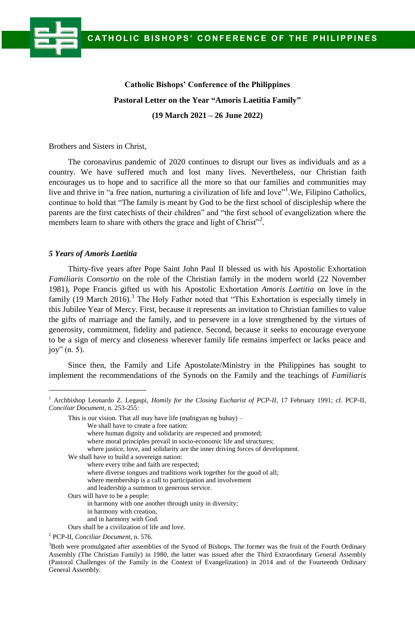# **Catholic Bishops' Conference of the Philippines Pastoral Letter on the Year "Amoris Laetitia Family" (19 March 2021 – 26 June 2022)**

Brothers and Sisters in Christ,

The coronavirus pandemic of 2020 continues to disrupt our lives as individuals and as a country. We have suffered much and lost many lives. Nevertheless, our Christian faith encourages us to hope and to sacrifice all the more so that our families and communities may live and thrive in "a free nation, nurturing a civilization of life and love"<sup>1</sup>. We, Filipino Catholics, continue to hold that "The family is meant by God to be the first school of discipleship where the parents are the first catechists of their children" and "the first school of evangelization where the members learn to share with others the grace and light of Christ"<sup>2</sup>.

## *5 Years of Amoris Laetitia*

 $\overline{a}$ 

Thirty-five years after Pope Saint John Paul II blessed us with his Apostolic Exhortation *Familiaris Consortio* on the role of the Christian family in the modern world (22 November 1981), Pope Francis gifted us with his Apostolic Exhortation *Amoris Laetitia* on love in the family (19 March 2016).<sup>3</sup> The Holy Father noted that "This Exhortation is especially timely in this Jubilee Year of Mercy. First, because it represents an invitation to Christian families to value the gifts of marriage and the family, and to persevere in a love strengthened by the virtues of generosity, commitment, fidelity and patience. Second, because it seeks to encourage everyone to be a sign of mercy and closeness wherever family life remains imperfect or lacks peace and joy" (n. 5).

Since then, the Family and Life Apostolate/Ministry in the Philippines has sought to implement the recommendations of the Synods on the Family and the teachings of *Familiaris*

where human dignity and solidarity are respected and promoted;

where moral principles prevail in socio-economic life and structures;

We shall have to build a sovereign nation:

- where every tribe and faith are respected;
- where diverse tongues and traditions work together for the good of all;
- where membership is a call to participation and involvement
- and leadership a summon to generous service.

Ours will have to be a people:

in harmony with one another through unity in diversity;

- in harmony with creation,
- and in harmony with God.
- Ours shall be a civilization of life and love.

<sup>&</sup>lt;sup>1</sup> Archbishop Leonardo Z. Legaspi, *Homily for the Closing Eucharist of PCP-II*, 17 February 1991; cf. PCP-II, *Conciliar Document*, n. 253-255:

This is our vision. That all may have life (mabigyan ng buhay) –

We shall have to create a free nation:

where justice, love, and solidarity are the inner driving forces of development.

<sup>2</sup> PCP-II, *Conciliar Document*, n. 576.

<sup>&</sup>lt;sup>3</sup>Both were promulgated after assemblies of the Synod of Bishops. The former was the fruit of the Fourth Ordinary Assembly (The Christian Family) in 1980, the latter was issued after the Third Extraordinary General Assembly (Pastoral Challenges of the Family in the Context of Evangelization) in 2014 and of the Fourteenth Ordinary General Assembly.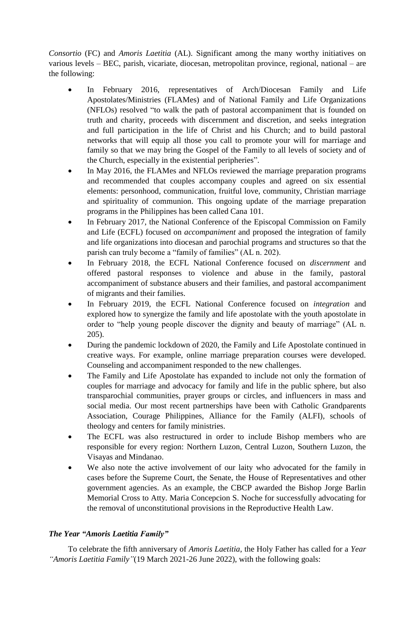*Consortio* (FC) and *Amoris Laetitia* (AL). Significant among the many worthy initiatives on various levels – BEC, parish, vicariate, diocesan, metropolitan province, regional, national – are the following:

- In February 2016, representatives of Arch/Diocesan Family and Life Apostolates/Ministries (FLAMes) and of National Family and Life Organizations (NFLOs) resolved "to walk the path of pastoral accompaniment that is founded on truth and charity, proceeds with discernment and discretion, and seeks integration and full participation in the life of Christ and his Church; and to build pastoral networks that will equip all those you call to promote your will for marriage and family so that we may bring the Gospel of the Family to all levels of society and of the Church, especially in the existential peripheries".
- In May 2016, the FLAMes and NFLOs reviewed the marriage preparation programs and recommended that couples accompany couples and agreed on six essential elements: personhood, communication, fruitful love, community, Christian marriage and spirituality of communion. This ongoing update of the marriage preparation programs in the Philippines has been called Cana 101.
- In February 2017, the National Conference of the Episcopal Commission on Family and Life (ECFL) focused on *accompaniment* and proposed the integration of family and life organizations into diocesan and parochial programs and structures so that the parish can truly become a "family of families" (AL n. 202).
- In February 2018, the ECFL National Conference focused on *discernment* and offered pastoral responses to violence and abuse in the family, pastoral accompaniment of substance abusers and their families, and pastoral accompaniment of migrants and their families.
- In February 2019, the ECFL National Conference focused on *integration* and explored how to synergize the family and life apostolate with the youth apostolate in order to "help young people discover the dignity and beauty of marriage" (AL n. 205).
- During the pandemic lockdown of 2020, the Family and Life Apostolate continued in creative ways. For example, online marriage preparation courses were developed. Counseling and accompaniment responded to the new challenges.
- The Family and Life Apostolate has expanded to include not only the formation of couples for marriage and advocacy for family and life in the public sphere, but also transparochial communities, prayer groups or circles, and influencers in mass and social media. Our most recent partnerships have been with Catholic Grandparents Association, Courage Philippines, Alliance for the Family (ALFI), schools of theology and centers for family ministries.
- The ECFL was also restructured in order to include Bishop members who are responsible for every region: Northern Luzon, Central Luzon, Southern Luzon, the Visayas and Mindanao.
- We also note the active involvement of our laity who advocated for the family in cases before the Supreme Court, the Senate, the House of Representatives and other government agencies. As an example, the CBCP awarded the Bishop Jorge Barlin Memorial Cross to Atty. Maria Concepcion S. Noche for successfully advocating for the removal of unconstitutional provisions in the Reproductive Health Law.

## *The Year "Amoris Laetitia Family"*

To celebrate the fifth anniversary of *Amoris Laetitia*, the Holy Father has called for a *Year "Amoris Laetitia Family"*(19 March 2021-26 June 2022), with the following goals: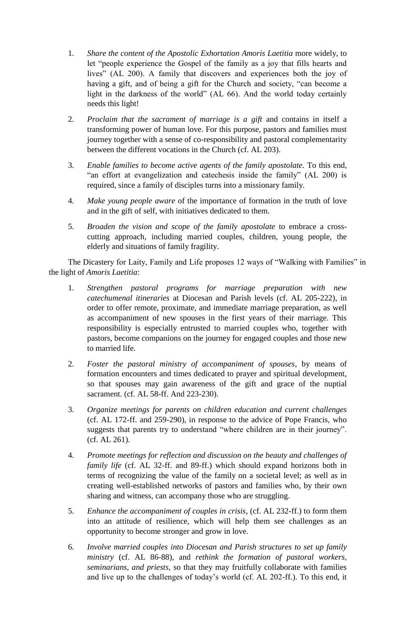- 1. *Share the content of the Apostolic Exhortation Amoris Laetitia* more widely, to let "people experience the Gospel of the family as a joy that fills hearts and lives" (AL 200). A family that discovers and experiences both the joy of having a gift, and of being a gift for the Church and society, "can become a light in the darkness of the world" (AL 66). And the world today certainly needs this light!
- 2. *Proclaim that the sacrament of marriage is a gift* and contains in itself a transforming power of human love. For this purpose, pastors and families must journey together with a sense of co-responsibility and pastoral complementarity between the different vocations in the Church (cf. AL 203).
- 3. *Enable families to become active agents of the family apostolate*. To this end, "an effort at evangelization and catechesis inside the family" (AL 200) is required, since a family of disciples turns into a missionary family.
- 4. *Make young people aware* of the importance of formation in the truth of love and in the gift of self, with initiatives dedicated to them.
- 5. *Broaden the vision and scope of the family apostolate* to embrace a crosscutting approach, including married couples, children, young people, the elderly and situations of family fragility.

The Dicastery for Laity, Family and Life proposes 12 ways of "Walking with Families" in the light of *Amoris Laetitia*:

- 1. *Strengthen pastoral programs for marriage preparation with new catechumenal itineraries* at Diocesan and Parish levels (cf. AL 205-222), in order to offer remote, proximate, and immediate marriage preparation, as well as accompaniment of new spouses in the first years of their marriage. This responsibility is especially entrusted to married couples who, together with pastors, become companions on the journey for engaged couples and those new to married life.
- 2. *Foster the pastoral ministry of accompaniment of spouses*, by means of formation encounters and times dedicated to prayer and spiritual development, so that spouses may gain awareness of the gift and grace of the nuptial sacrament. (cf. AL 58-ff. And 223-230).
- 3. *Organize meetings for parents on children education and current challenges* (cf. AL 172-ff. and 259-290), in response to the advice of Pope Francis, who suggests that parents try to understand "where children are in their journey". (cf. AL 261).
- 4. *Promote meetings for reflection and discussion on the beauty and challenges of family life* (cf. AL 32-ff. and 89-ff.) which should expand horizons both in terms of recognizing the value of the family on a societal level; as well as in creating well-established networks of pastors and families who, by their own sharing and witness, can accompany those who are struggling.
- 5. *Enhance the accompaniment of couples in crisis*, (cf. AL 232-ff.) to form them into an attitude of resilience, which will help them see challenges as an opportunity to become stronger and grow in love.
- 6. *Involve married couples into Diocesan and Parish structures to set up family ministry* (cf. AL 86-88), and *rethink the formation of pastoral workers, seminarians, and priests*, so that they may fruitfully collaborate with families and live up to the challenges of today's world (cf. AL 202-ff.). To this end, it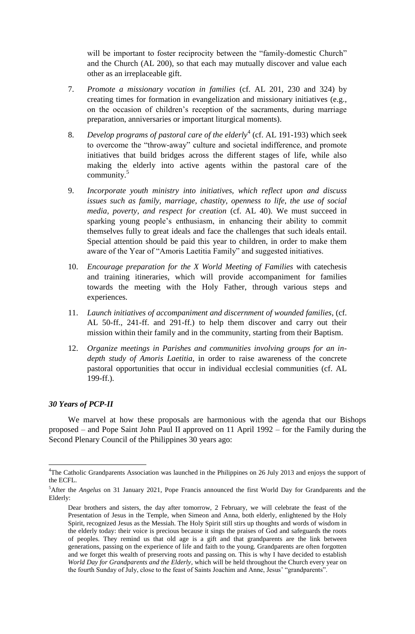will be important to foster reciprocity between the "family-domestic Church" and the Church (AL 200), so that each may mutually discover and value each other as an irreplaceable gift.

- 7. *Promote a missionary vocation in families* (cf. AL 201, 230 and 324) by creating times for formation in evangelization and missionary initiatives (e.g., on the occasion of children's reception of the sacraments, during marriage preparation, anniversaries or important liturgical moments).
- 8. *Develop programs of pastoral care of the elderly*<sup>4</sup> (cf. AL 191-193) which seek to overcome the "throw-away" culture and societal indifference, and promote initiatives that build bridges across the different stages of life, while also making the elderly into active agents within the pastoral care of the community. 5
- 9. *Incorporate youth ministry into initiatives, which reflect upon and discuss issues such as family, marriage, chastity, openness to life, the use of social media, poverty, and respect for creation* (cf. AL 40). We must succeed in sparking young people's enthusiasm, in enhancing their ability to commit themselves fully to great ideals and face the challenges that such ideals entail. Special attention should be paid this year to children, in order to make them aware of the Year of "Amoris Laetitia Family" and suggested initiatives.
- 10. *Encourage preparation for the X World Meeting of Families* with catechesis and training itineraries, which will provide accompaniment for families towards the meeting with the Holy Father, through various steps and experiences.
- 11. *Launch initiatives of accompaniment and discernment of wounded families*, (cf. AL 50-ff., 241-ff. and 291-ff.) to help them discover and carry out their mission within their family and in the community, starting from their Baptism.
- 12. *Organize meetings in Parishes and communities involving groups for an indepth study of Amoris Laetitia*, in order to raise awareness of the concrete pastoral opportunities that occur in individual ecclesial communities (cf. AL 199-ff.).

#### *30 Years of PCP-II*

 $\overline{a}$ 

We marvel at how these proposals are harmonious with the agenda that our Bishops proposed – and Pope Saint John Paul II approved on 11 April 1992 – for the Family during the Second Plenary Council of the Philippines 30 years ago:

<sup>&</sup>lt;sup>4</sup>The Catholic Grandparents Association was launched in the Philippines on 26 July 2013 and enjoys the support of the ECFL.

<sup>5</sup>After the *Angelus* on 31 January 2021, Pope Francis announced the first World Day for Grandparents and the Elderly:

Dear brothers and sisters, the day after tomorrow, 2 February, we will celebrate the feast of the Presentation of Jesus in the Temple, when Simeon and Anna, both elderly, enlightened by the Holy Spirit, recognized Jesus as the Messiah. The Holy Spirit still stirs up thoughts and words of wisdom in the elderly today: their voice is precious because it sings the praises of God and safeguards the roots of peoples. They remind us that old age is a gift and that grandparents are the link between generations, passing on the experience of life and faith to the young. Grandparents are often forgotten and we forget this wealth of preserving roots and passing on. This is why I have decided to establish *World Day for Grandparents and the Elderly*, which will be held throughout the Church every year on the fourth Sunday of July, close to the feast of Saints Joachim and Anne, Jesus' "grandparents".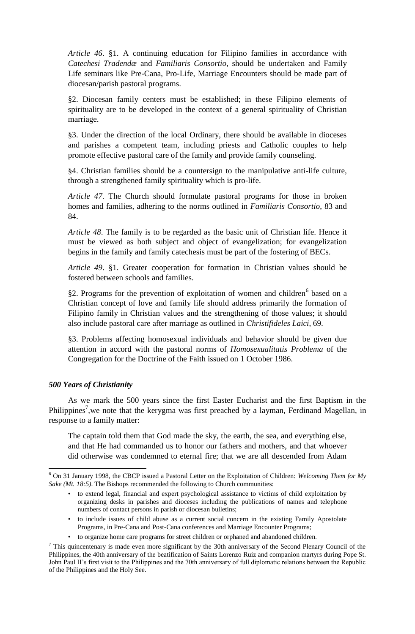*Article 46*. §1. A continuing education for Filipino families in accordance with *Catechesi Tradendæ* and *Familiaris Consortio*, should be undertaken and Family Life seminars like Pre-Cana, Pro-Life, Marriage Encounters should be made part of diocesan/parish pastoral programs.

§2. Diocesan family centers must be established; in these Filipino elements of spirituality are to be developed in the context of a general spirituality of Christian marriage.

§3. Under the direction of the local Ordinary, there should be available in dioceses and parishes a competent team, including priests and Catholic couples to help promote effective pastoral care of the family and provide family counseling.

§4. Christian families should be a countersign to the manipulative anti-life culture, through a strengthened family spirituality which is pro-life.

*Article 47*. The Church should formulate pastoral programs for those in broken homes and families, adhering to the norms outlined in *Familiaris Consortio*, 83 and 84.

*Article 48*. The family is to be regarded as the basic unit of Christian life. Hence it must be viewed as both subject and object of evangelization; for evangelization begins in the family and family catechesis must be part of the fostering of BECs.

*Article 49*. §1. Greater cooperation for formation in Christian values should be fostered between schools and families.

§2. Programs for the prevention of exploitation of women and children<sup>6</sup> based on a Christian concept of love and family life should address primarily the formation of Filipino family in Christian values and the strengthening of those values; it should also include pastoral care after marriage as outlined in *Christifideles Laici*, 69.

§3. Problems affecting homosexual individuals and behavior should be given due attention in accord with the pastoral norms of *Homosexualitatis Problema* of the Congregation for the Doctrine of the Faith issued on 1 October 1986.

#### *500 Years of Christianity*

 $\overline{a}$ 

As we mark the 500 years since the first Easter Eucharist and the first Baptism in the Philippines<sup>7</sup>, we note that the kerygma was first preached by a layman, Ferdinand Magellan, in response to a family matter:

The captain told them that God made the sky, the earth, the sea, and everything else, and that He had commanded us to honor our fathers and mothers, and that whoever did otherwise was condemned to eternal fire; that we are all descended from Adam

- to include issues of child abuse as a current social concern in the existing Family Apostolate Programs, in Pre-Cana and Post-Cana conferences and Marriage Encounter Programs;
- to organize home care programs for street children or orphaned and abandoned children.

<sup>6</sup> On 31 January 1998, the CBCP issued a Pastoral Letter on the Exploitation of Children: *Welcoming Them for My Sake (Mt. 18:5)*. The Bishops recommended the following to Church communities:

<sup>•</sup> to extend legal, financial and expert psychological assistance to victims of child exploitation by organizing desks in parishes and dioceses including the publications of names and telephone numbers of contact persons in parish or diocesan bulletins;

 $<sup>7</sup>$  This quincentenary is made even more significant by the 30th anniversary of the Second Plenary Council of the</sup> Philippines, the 40th anniversary of the beatification of Saints Lorenzo Ruiz and companion martyrs during Pope St. John Paul II's first visit to the Philippines and the 70th anniversary of full diplomatic relations between the Republic of the Philippines and the Holy See.